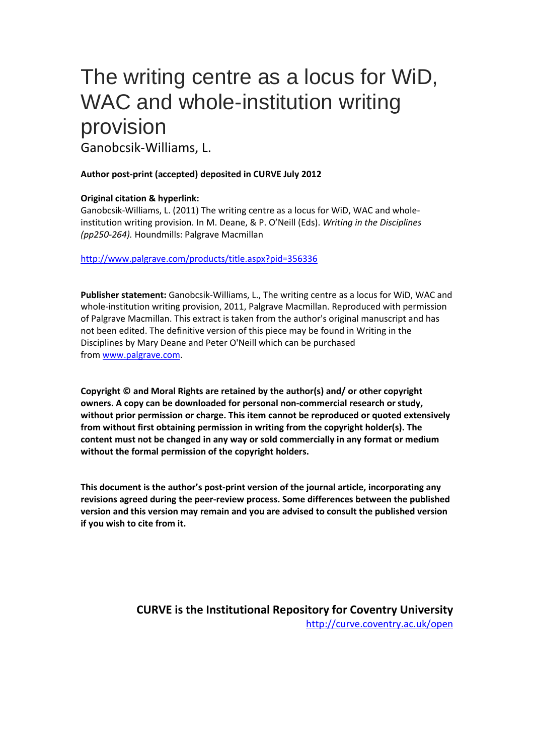# The writing centre as a locus for WiD, WAC and whole-institution writing provision

Ganobcsik-Williams, L.

#### **Author post-print (accepted) deposited in CURVE July 2012**

#### **Original citation & hyperlink:**

Ganobcsik-Williams, L. (2011) The writing centre as a locus for WiD, WAC and wholeinstitution writing provision. In M. Deane, & P. O'Neill (Eds). *Writing in the Disciplines (pp250-264).* Houndmills: Palgrave Macmillan

http://www.palgrave.com/products/title.aspx?pid=356336

**Publisher statement:** Ganobcsik-Williams, L., The writing centre as a locus for WiD, WAC and whole-institution writing provision, 2011, Palgrave Macmillan. Reproduced with permission of Palgrave Macmillan. This extract is taken from the author's original manuscript and has not been edited. The definitive version of this piece may be found in Writing in the [Disciplines by Mary Deane and Peter O](http://www.palgrave.com/products/title.aspx?pid=356336)'[Neill which can be purcha](http://www.palgrave.com/products/title.aspx?pid=356336)sed from www.palgrave.com.

**Copyright © and Moral Rights are retained by the author(s) and/ or other copyright owners. A copy can be downloaded for personal non-commercial research or study, without prior permission or charge. This item cannot be reproduced or quoted extensively from without first obtaining permission in writing from the copyright holder(s). The content must not be changed in any way or sold commercially in any format or medium [without the formal pe](http://www.palgrave.com/)rmission of the copyright holders.** 

**This document is the author's post-print version of the journal article, incorporating any revisions agreed during the peer-review process. Some differences between the published version and this version may remain and you are advised to consult the published version if you wish to cite from it.** 

> **CURVE is the Institutional Repository for Coventry University** http://curve.coventry.ac.uk/open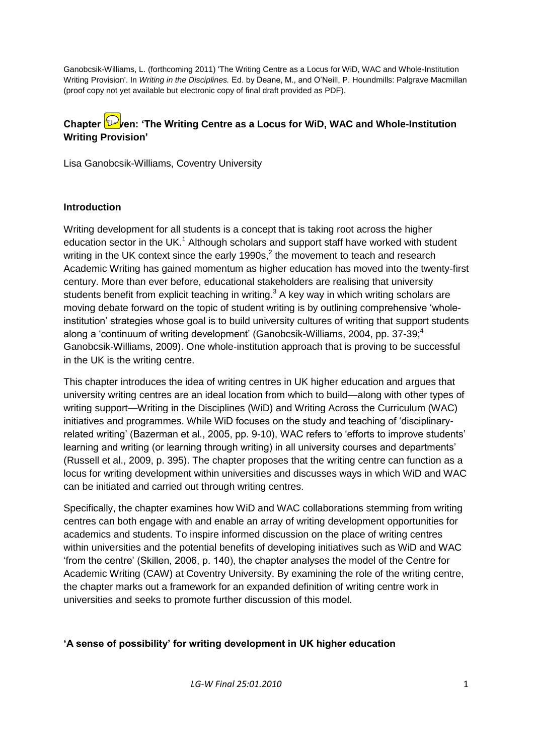Ganobcsik-Williams, L. (forthcoming 2011) 'The Writing Centre as a Locus for WiD, WAC and Whole-Institution Writing Provision'. In *Writing in the Disciplines.* Ed. by Deane, M., and O'Neill, P. Houndmills: Palgrave Macmillan (proof copy not yet available but electronic copy of final draft provided as PDF).

# **Chapter** Pen: 'The Writing Centre as a Locus for WiD, WAC and Whole-Institution **Writing Provision'**

Lisa Ganobcsik-Williams, Coventry University

# **Introduction**

Writing development for all students is a concept that is taking root across the higher education sector in the UK.<sup>1</sup> Although scholars and support staff have worked with student writing in the UK context since the early 1990s,<sup>2</sup> the movement to teach and research Academic Writing has gained momentum as higher education has moved into the twenty-first century. More than ever before, educational stakeholders are realising that university students benefit from explicit teaching in writing. $3$  A key way in which writing scholars are moving debate forward on the topic of student writing is by outlining comprehensive 'wholeinstitution' strategies whose goal is to build university cultures of writing that support students along a 'continuum of writing development' (Ganobcsik-Williams, 2004, pp. 37-39; $4$ ) Ganobcsik-Williams, 2009). One whole-institution approach that is proving to be successful in the UK is the writing centre.

This chapter introduces the idea of writing centres in UK higher education and argues that university writing centres are an ideal location from which to build—along with other types of writing support—Writing in the Disciplines (WiD) and Writing Across the Curriculum (WAC) initiatives and programmes. While WiD focuses on the study and teaching of 'disciplinaryrelated writing' (Bazerman et al., 2005, pp. 9-10), WAC refers to 'efforts to improve students' learning and writing (or learning through writing) in all university courses and departments' (Russell et al., 2009, p. 395). The chapter proposes that the writing centre can function as a locus for writing development within universities and discusses ways in which WiD and WAC can be initiated and carried out through writing centres.

Specifically, the chapter examines how WiD and WAC collaborations stemming from writing centres can both engage with and enable an array of writing development opportunities for academics and students. To inspire informed discussion on the place of writing centres within universities and the potential benefits of developing initiatives such as WiD and WAC ‗from the centre' (Skillen, 2006, p. 140), the chapter analyses the model of the Centre for Academic Writing (CAW) at Coventry University. By examining the role of the writing centre, the chapter marks out a framework for an expanded definition of writing centre work in universities and seeks to promote further discussion of this model.

# **'A sense of possibility' for writing development in UK higher education**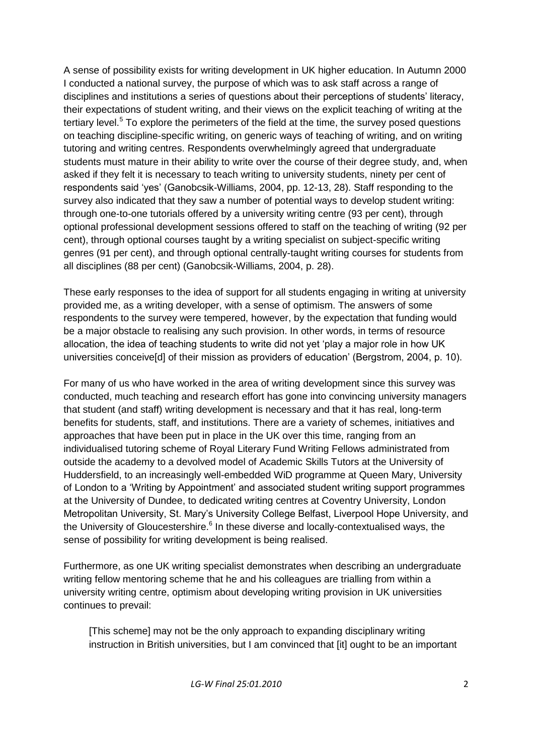A sense of possibility exists for writing development in UK higher education. In Autumn 2000 I conducted a national survey, the purpose of which was to ask staff across a range of disciplines and institutions a series of questions about their perceptions of students' literacy, their expectations of student writing, and their views on the explicit teaching of writing at the tertiary level.<sup>5</sup> To explore the perimeters of the field at the time, the survey posed questions on teaching discipline-specific writing, on generic ways of teaching of writing, and on writing tutoring and writing centres. Respondents overwhelmingly agreed that undergraduate students must mature in their ability to write over the course of their degree study, and, when asked if they felt it is necessary to teach writing to university students, ninety per cent of respondents said 'yes' (Ganobcsik-Williams, 2004, pp. 12-13, 28). Staff responding to the survey also indicated that they saw a number of potential ways to develop student writing: through one-to-one tutorials offered by a university writing centre (93 per cent), through optional professional development sessions offered to staff on the teaching of writing (92 per cent), through optional courses taught by a writing specialist on subject-specific writing genres (91 per cent), and through optional centrally-taught writing courses for students from all disciplines (88 per cent) (Ganobcsik-Williams, 2004, p. 28).

These early responses to the idea of support for all students engaging in writing at university provided me, as a writing developer, with a sense of optimism. The answers of some respondents to the survey were tempered, however, by the expectation that funding would be a major obstacle to realising any such provision. In other words, in terms of resource allocation, the idea of teaching students to write did not yet 'play a major role in how UK universities conceive[d] of their mission as providers of education' (Bergstrom, 2004, p. 10).

For many of us who have worked in the area of writing development since this survey was conducted, much teaching and research effort has gone into convincing university managers that student (and staff) writing development is necessary and that it has real, long-term benefits for students, staff, and institutions. There are a variety of schemes, initiatives and approaches that have been put in place in the UK over this time, ranging from an individualised tutoring scheme of Royal Literary Fund Writing Fellows administrated from outside the academy to a devolved model of Academic Skills Tutors at the University of Huddersfield, to an increasingly well-embedded WiD programme at Queen Mary, University of London to a ‗Writing by Appointment' and associated student writing support programmes at the University of Dundee, to dedicated writing centres at Coventry University, London Metropolitan University, St. Mary's University College Belfast, Liverpool Hope University, and the University of Gloucestershire.<sup>6</sup> In these diverse and locally-contextualised ways, the sense of possibility for writing development is being realised.

Furthermore, as one UK writing specialist demonstrates when describing an undergraduate writing fellow mentoring scheme that he and his colleagues are trialling from within a university writing centre, optimism about developing writing provision in UK universities continues to prevail:

[This scheme] may not be the only approach to expanding disciplinary writing instruction in British universities, but I am convinced that [it] ought to be an important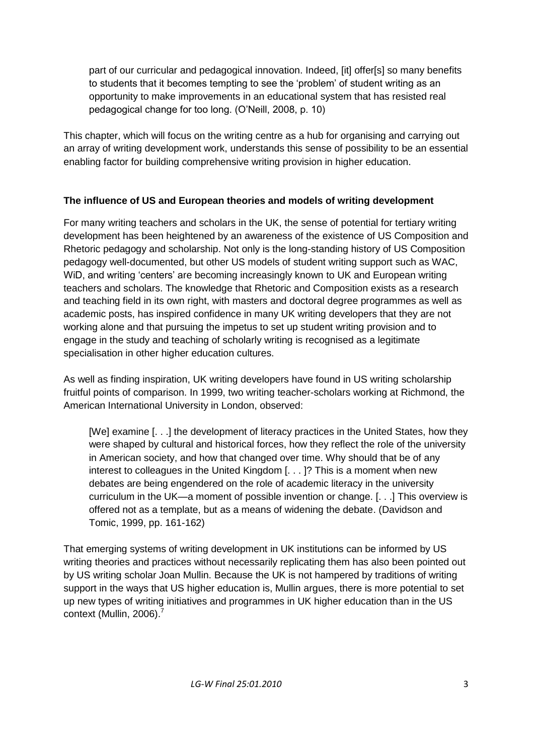part of our curricular and pedagogical innovation. Indeed, [it] offer[s] so many benefits to students that it becomes tempting to see the 'problem' of student writing as an opportunity to make improvements in an educational system that has resisted real pedagogical change for too long. (O'Neill, 2008, p. 10)

This chapter, which will focus on the writing centre as a hub for organising and carrying out an array of writing development work, understands this sense of possibility to be an essential enabling factor for building comprehensive writing provision in higher education.

# **The influence of US and European theories and models of writing development**

For many writing teachers and scholars in the UK, the sense of potential for tertiary writing development has been heightened by an awareness of the existence of US Composition and Rhetoric pedagogy and scholarship. Not only is the long-standing history of US Composition pedagogy well-documented, but other US models of student writing support such as WAC, WiD, and writing 'centers' are becoming increasingly known to UK and European writing teachers and scholars. The knowledge that Rhetoric and Composition exists as a research and teaching field in its own right, with masters and doctoral degree programmes as well as academic posts, has inspired confidence in many UK writing developers that they are not working alone and that pursuing the impetus to set up student writing provision and to engage in the study and teaching of scholarly writing is recognised as a legitimate specialisation in other higher education cultures.

As well as finding inspiration, UK writing developers have found in US writing scholarship fruitful points of comparison. In 1999, two writing teacher-scholars working at Richmond, the American International University in London, observed:

[We] examine [. . .] the development of literacy practices in the United States, how they were shaped by cultural and historical forces, how they reflect the role of the university in American society, and how that changed over time. Why should that be of any interest to colleagues in the United Kingdom [. . . ]? This is a moment when new debates are being engendered on the role of academic literacy in the university curriculum in the UK—a moment of possible invention or change. [. . .] This overview is offered not as a template, but as a means of widening the debate. (Davidson and Tomic, 1999, pp. 161-162)

That emerging systems of writing development in UK institutions can be informed by US writing theories and practices without necessarily replicating them has also been pointed out by US writing scholar Joan Mullin. Because the UK is not hampered by traditions of writing support in the ways that US higher education is, Mullin argues, there is more potential to set up new types of writing initiatives and programmes in UK higher education than in the US context (Mullin, 2006).<sup>7</sup>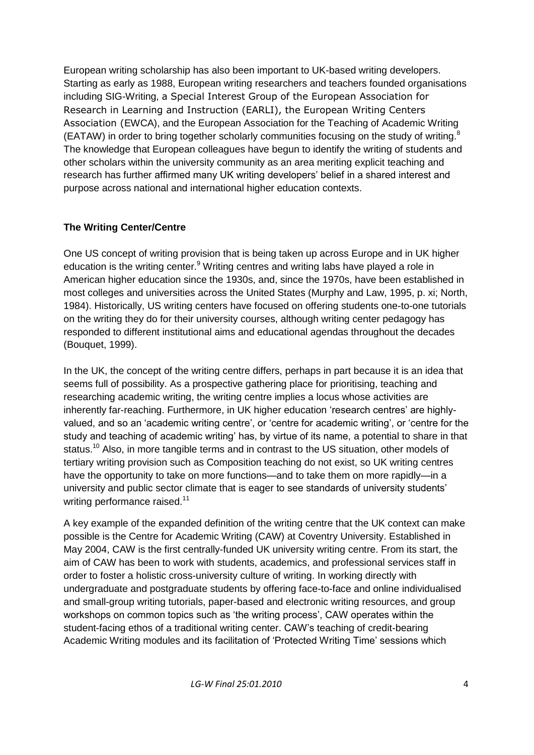European writing scholarship has also been important to UK-based writing developers. Starting as early as 1988, European writing researchers and teachers founded organisations including SIG-Writing, a Special Interest Group of the European Association for Research in Learning and Instruction (EARLI), the European Writing Centers Association (EWCA), and the European Association for the Teaching of Academic Writing (EATAW) in order to bring together scholarly communities focusing on the study of writing.<sup>8</sup> The knowledge that European colleagues have begun to identify the writing of students and other scholars within the university community as an area meriting explicit teaching and research has further affirmed many UK writing developers' belief in a shared interest and purpose across national and international higher education contexts.

# **The Writing Center/Centre**

One US concept of writing provision that is being taken up across Europe and in UK higher education is the writing center. $9$  Writing centres and writing labs have played a role in American higher education since the 1930s, and, since the 1970s, have been established in most colleges and universities across the United States (Murphy and Law, 1995, p. xi; North, 1984). Historically, US writing centers have focused on offering students one-to-one tutorials on the writing they do for their university courses, although writing center pedagogy has responded to different institutional aims and educational agendas throughout the decades (Bouquet, 1999).

In the UK, the concept of the writing centre differs, perhaps in part because it is an idea that seems full of possibility. As a prospective gathering place for prioritising, teaching and researching academic writing, the writing centre implies a locus whose activities are inherently far-reaching. Furthermore, in UK higher education 'research centres' are highlyvalued, and so an 'academic writing centre', or 'centre for academic writing', or 'centre for the study and teaching of academic writing' has, by virtue of its name, a potential to share in that status.<sup>10</sup> Also, in more tangible terms and in contrast to the US situation, other models of tertiary writing provision such as Composition teaching do not exist, so UK writing centres have the opportunity to take on more functions—and to take them on more rapidly—in a university and public sector climate that is eager to see standards of university students' writing performance raised.<sup>11</sup>

A key example of the expanded definition of the writing centre that the UK context can make possible is the Centre for Academic Writing (CAW) at Coventry University. Established in May 2004, CAW is the first centrally-funded UK university writing centre. From its start, the aim of CAW has been to work with students, academics, and professional services staff in order to foster a holistic cross-university culture of writing. In working directly with undergraduate and postgraduate students by offering face-to-face and online individualised and small-group writing tutorials, paper-based and electronic writing resources, and group workshops on common topics such as 'the writing process', CAW operates within the student-facing ethos of a traditional writing center. CAW's teaching of credit-bearing Academic Writing modules and its facilitation of 'Protected Writing Time' sessions which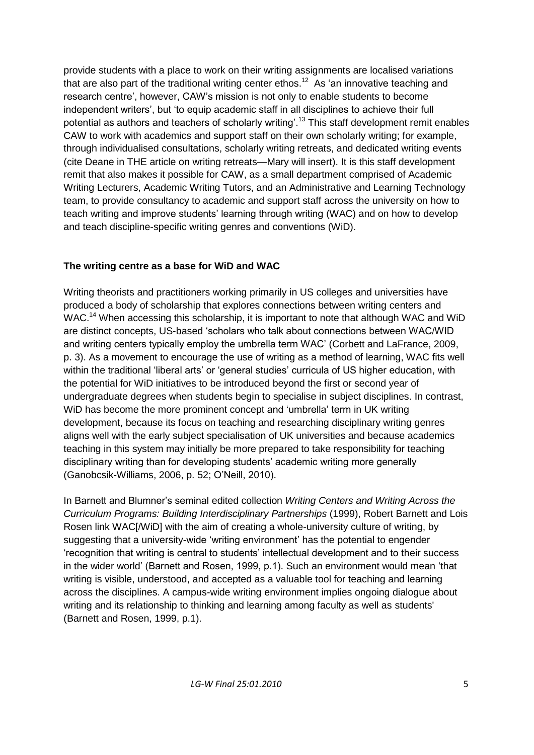provide students with a place to work on their writing assignments are localised variations that are also part of the traditional writing center ethos.<sup>12</sup> As 'an innovative teaching and research centre', however, CAW's mission is not only to enable students to become independent writers', but 'to equip academic staff in all disciplines to achieve their full potential as authors and teachers of scholarly writing'.<sup>13</sup> This staff development remit enables CAW to work with academics and support staff on their own scholarly writing; for example, through individualised consultations, scholarly writing retreats, and dedicated writing events (cite Deane in THE article on writing retreats—Mary will insert). It is this staff development remit that also makes it possible for CAW, as a small department comprised of Academic Writing Lecturers, Academic Writing Tutors, and an Administrative and Learning Technology team, to provide consultancy to academic and support staff across the university on how to teach writing and improve students' learning through writing (WAC) and on how to develop and teach discipline-specific writing genres and conventions (WiD).

# **The writing centre as a base for WiD and WAC**

Writing theorists and practitioners working primarily in US colleges and universities have produced a body of scholarship that explores connections between writing centers and WAC.<sup>14</sup> When accessing this scholarship, it is important to note that although WAC and WiD are distinct concepts, US-based 'scholars who talk about connections between WAC/WID and writing centers typically employ the umbrella term WAC' (Corbett and LaFrance, 2009, p. 3). As a movement to encourage the use of writing as a method of learning, WAC fits well within the traditional 'liberal arts' or 'general studies' curricula of US higher education, with the potential for WiD initiatives to be introduced beyond the first or second year of undergraduate degrees when students begin to specialise in subject disciplines. In contrast, WiD has become the more prominent concept and 'umbrella' term in UK writing development, because its focus on teaching and researching disciplinary writing genres aligns well with the early subject specialisation of UK universities and because academics teaching in this system may initially be more prepared to take responsibility for teaching disciplinary writing than for developing students' academic writing more generally (Ganobcsik-Williams, 2006, p. 52; O'Neill, 2010).

In Barnett and Blumner's seminal edited collection *Writing Centers and Writing Across the Curriculum Programs: Building Interdisciplinary Partnerships* (1999), Robert Barnett and Lois Rosen link WAC[/WiD] with the aim of creating a whole-university culture of writing, by suggesting that a university-wide 'writing environment' has the potential to engender ‗recognition that writing is central to students' intellectual development and to their success in the wider world' (Barnett and Rosen, 1999, p.1). Such an environment would mean 'that writing is visible, understood, and accepted as a valuable tool for teaching and learning across the disciplines. A campus-wide writing environment implies ongoing dialogue about writing and its relationship to thinking and learning among faculty as well as students' (Barnett and Rosen, 1999, p.1).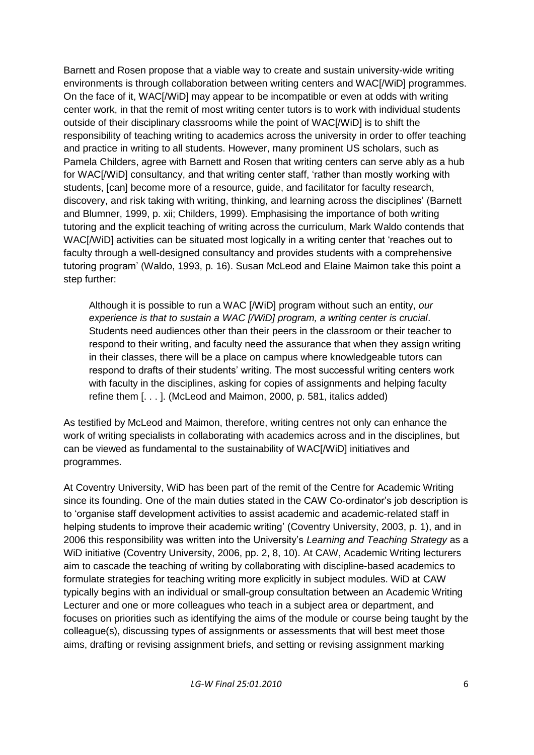Barnett and Rosen propose that a viable way to create and sustain university-wide writing environments is through collaboration between writing centers and WAC[/WiD] programmes. On the face of it, WAC[/WiD] may appear to be incompatible or even at odds with writing center work, in that the remit of most writing center tutors is to work with individual students outside of their disciplinary classrooms while the point of WAC[/WiD] is to shift the responsibility of teaching writing to academics across the university in order to offer teaching and practice in writing to all students. However, many prominent US scholars, such as Pamela Childers, agree with Barnett and Rosen that writing centers can serve ably as a hub for WAC[/WiD] consultancy, and that writing center staff, 'rather than mostly working with students, [can] become more of a resource, guide, and facilitator for faculty research, discovery, and risk taking with writing, thinking, and learning across the disciplines' (Barnett and Blumner, 1999, p. xii; Childers, 1999). Emphasising the importance of both writing tutoring and the explicit teaching of writing across the curriculum, Mark Waldo contends that WAC[/WiD] activities can be situated most logically in a writing center that 'reaches out to faculty through a well-designed consultancy and provides students with a comprehensive tutoring program' (Waldo, 1993, p. 16). Susan McLeod and Elaine Maimon take this point a step further:

Although it is possible to run a WAC [/WiD] program without such an entity, *our experience is that to sustain a WAC [/WiD] program, a writing center is crucial*. Students need audiences other than their peers in the classroom or their teacher to respond to their writing, and faculty need the assurance that when they assign writing in their classes, there will be a place on campus where knowledgeable tutors can respond to drafts of their students' writing. The most successful writing centers work with faculty in the disciplines, asking for copies of assignments and helping faculty refine them [. . . ]. (McLeod and Maimon, 2000, p. 581, italics added)

As testified by McLeod and Maimon, therefore, writing centres not only can enhance the work of writing specialists in collaborating with academics across and in the disciplines, but can be viewed as fundamental to the sustainability of WAC[/WiD] initiatives and programmes.

At Coventry University, WiD has been part of the remit of the Centre for Academic Writing since its founding. One of the main duties stated in the CAW Co-ordinator's job description is to 'organise staff development activities to assist academic and academic-related staff in helping students to improve their academic writing' (Coventry University, 2003, p. 1), and in 2006 this responsibility was written into the University's *Learning and Teaching Strategy* as a WiD initiative (Coventry University, 2006, pp. 2, 8, 10). At CAW, Academic Writing lecturers aim to cascade the teaching of writing by collaborating with discipline-based academics to formulate strategies for teaching writing more explicitly in subject modules. WiD at CAW typically begins with an individual or small-group consultation between an Academic Writing Lecturer and one or more colleagues who teach in a subject area or department, and focuses on priorities such as identifying the aims of the module or course being taught by the colleague(s), discussing types of assignments or assessments that will best meet those aims, drafting or revising assignment briefs, and setting or revising assignment marking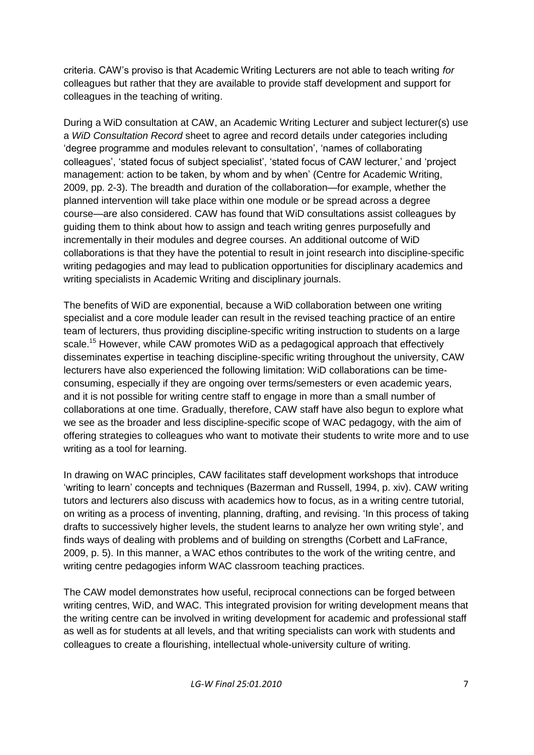criteria. CAW's proviso is that Academic Writing Lecturers are not able to teach writing *for* colleagues but rather that they are available to provide staff development and support for colleagues in the teaching of writing.

During a WiD consultation at CAW, an Academic Writing Lecturer and subject lecturer(s) use a *WiD Consultation Record* sheet to agree and record details under categories including ‗degree programme and modules relevant to consultation', ‗names of collaborating colleagues', 'stated focus of subject specialist', 'stated focus of CAW lecturer,' and 'project management: action to be taken, by whom and by when' (Centre for Academic Writing, 2009, pp. 2-3). The breadth and duration of the collaboration—for example, whether the planned intervention will take place within one module or be spread across a degree course—are also considered. CAW has found that WiD consultations assist colleagues by guiding them to think about how to assign and teach writing genres purposefully and incrementally in their modules and degree courses. An additional outcome of WiD collaborations is that they have the potential to result in joint research into discipline-specific writing pedagogies and may lead to publication opportunities for disciplinary academics and writing specialists in Academic Writing and disciplinary journals.

The benefits of WiD are exponential, because a WiD collaboration between one writing specialist and a core module leader can result in the revised teaching practice of an entire team of lecturers, thus providing discipline-specific writing instruction to students on a large scale. <sup>15</sup> However, while CAW promotes WiD as a pedagogical approach that effectively disseminates expertise in teaching discipline-specific writing throughout the university, CAW lecturers have also experienced the following limitation: WiD collaborations can be timeconsuming, especially if they are ongoing over terms/semesters or even academic years, and it is not possible for writing centre staff to engage in more than a small number of collaborations at one time. Gradually, therefore, CAW staff have also begun to explore what we see as the broader and less discipline-specific scope of WAC pedagogy, with the aim of offering strategies to colleagues who want to motivate their students to write more and to use writing as a tool for learning.

In drawing on WAC principles, CAW facilitates staff development workshops that introduce ‗writing to learn' concepts and techniques (Bazerman and Russell, 1994, p. xiv). CAW writing tutors and lecturers also discuss with academics how to focus, as in a writing centre tutorial, on writing as a process of inventing, planning, drafting, and revising. In this process of taking drafts to successively higher levels, the student learns to analyze her own writing style', and finds ways of dealing with problems and of building on strengths (Corbett and LaFrance, 2009, p. 5). In this manner, a WAC ethos contributes to the work of the writing centre, and writing centre pedagogies inform WAC classroom teaching practices.

The CAW model demonstrates how useful, reciprocal connections can be forged between writing centres, WiD, and WAC. This integrated provision for writing development means that the writing centre can be involved in writing development for academic and professional staff as well as for students at all levels, and that writing specialists can work with students and colleagues to create a flourishing, intellectual whole-university culture of writing.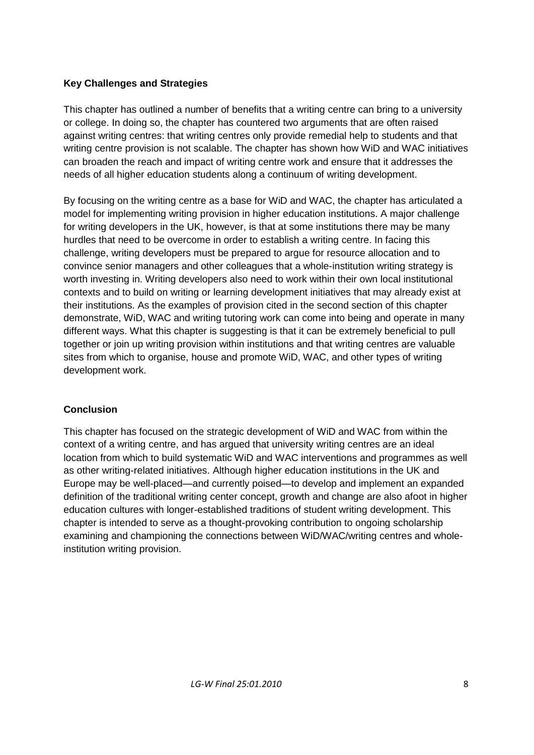# **Key Challenges and Strategies**

This chapter has outlined a number of benefits that a writing centre can bring to a university or college. In doing so, the chapter has countered two arguments that are often raised against writing centres: that writing centres only provide remedial help to students and that writing centre provision is not scalable. The chapter has shown how WiD and WAC initiatives can broaden the reach and impact of writing centre work and ensure that it addresses the needs of all higher education students along a continuum of writing development.

By focusing on the writing centre as a base for WiD and WAC, the chapter has articulated a model for implementing writing provision in higher education institutions. A major challenge for writing developers in the UK, however, is that at some institutions there may be many hurdles that need to be overcome in order to establish a writing centre. In facing this challenge, writing developers must be prepared to argue for resource allocation and to convince senior managers and other colleagues that a whole-institution writing strategy is worth investing in. Writing developers also need to work within their own local institutional contexts and to build on writing or learning development initiatives that may already exist at their institutions. As the examples of provision cited in the second section of this chapter demonstrate, WiD, WAC and writing tutoring work can come into being and operate in many different ways. What this chapter is suggesting is that it can be extremely beneficial to pull together or join up writing provision within institutions and that writing centres are valuable sites from which to organise, house and promote WiD, WAC, and other types of writing development work.

# **Conclusion**

This chapter has focused on the strategic development of WiD and WAC from within the context of a writing centre, and has argued that university writing centres are an ideal location from which to build systematic WiD and WAC interventions and programmes as well as other writing-related initiatives. Although higher education institutions in the UK and Europe may be well-placed—and currently poised—to develop and implement an expanded definition of the traditional writing center concept, growth and change are also afoot in higher education cultures with longer-established traditions of student writing development. This chapter is intended to serve as a thought-provoking contribution to ongoing scholarship examining and championing the connections between WiD/WAC/writing centres and wholeinstitution writing provision.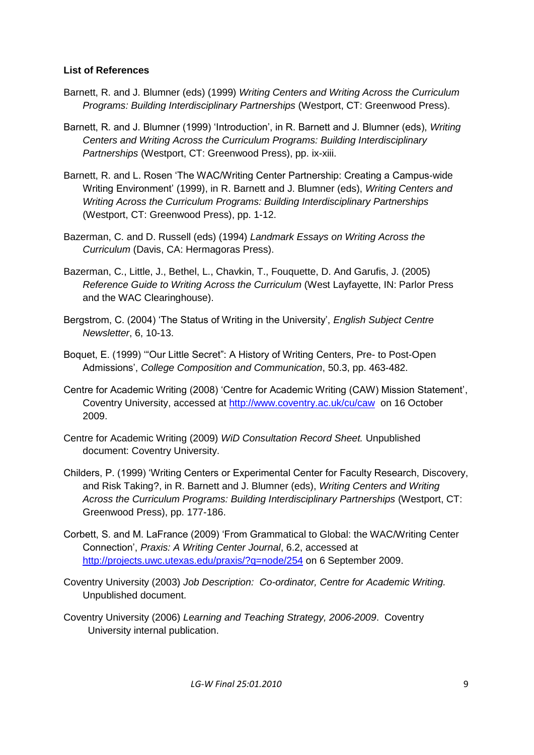### **List of References**

- Barnett, R. and J. Blumner (eds) (1999) *Writing Centers and Writing Across the Curriculum Programs: Building Interdisciplinary Partnerships* (Westport, CT: Greenwood Press).
- Barnett, R. and J. Blumner (1999) 'Introduction', in R. Barnett and J. Blumner (eds), *Writing Centers and Writing Across the Curriculum Programs: Building Interdisciplinary Partnerships* (Westport, CT: Greenwood Press), pp. ix-xiii.
- Barnett, R. and L. Rosen 'The WAC/Writing Center Partnership: Creating a Campus-wide Writing Environment' (1999), in R. Barnett and J. Blumner (eds), *Writing Centers and Writing Across the Curriculum Programs: Building Interdisciplinary Partnerships* (Westport, CT: Greenwood Press), pp. 1-12.
- Bazerman, C. and D. Russell (eds) (1994) *Landmark Essays on Writing Across the Curriculum* (Davis, CA: Hermagoras Press).
- Bazerman, C., Little, J., Bethel, L., Chavkin, T., Fouquette, D. And Garufis, J. (2005) *Reference Guide to Writing Across the Curriculum* (West Layfayette, IN: Parlor Press and the WAC Clearinghouse).
- Bergstrom, C. (2004) ‗The Status of Writing in the University', *English Subject Centre Newsletter*, 6, 10-13.
- Boquet, E. (1999) "Our Little Secret": A History of Writing Centers, Pre- to Post-Open Admissions', *College Composition and Communication*, 50.3, pp. 463-482.
- Centre for Academic Writing (2008) 'Centre for Academic Writing (CAW) Mission Statement', Coventry University, accessed at<http://www.coventry.ac.uk/cu/caw>on 16 October 2009.
- Centre for Academic Writing (2009) *WiD Consultation Record Sheet.* Unpublished document: Coventry University.
- Childers, P. (1999) ‗Writing Centers or Experimental Center for Faculty Research, Discovery, and Risk Taking?, in R. Barnett and J. Blumner (eds), *Writing Centers and Writing Across the Curriculum Programs: Building Interdisciplinary Partnerships* (Westport, CT: Greenwood Press), pp. 177-186.
- Corbett, S. and M. LaFrance (2009) ‗From Grammatical to Global: the WAC/Writing Center Connection', *Praxis: A Writing Center Journal*, 6.2, accessed at <http://projects.uwc.utexas.edu/praxis/?q=node/254> on 6 September 2009.
- Coventry University (2003) *Job Description: Co-ordinator, Centre for Academic Writing.*  Unpublished document.
- Coventry University (2006) *Learning and Teaching Strategy, 2006-2009*. Coventry University internal publication.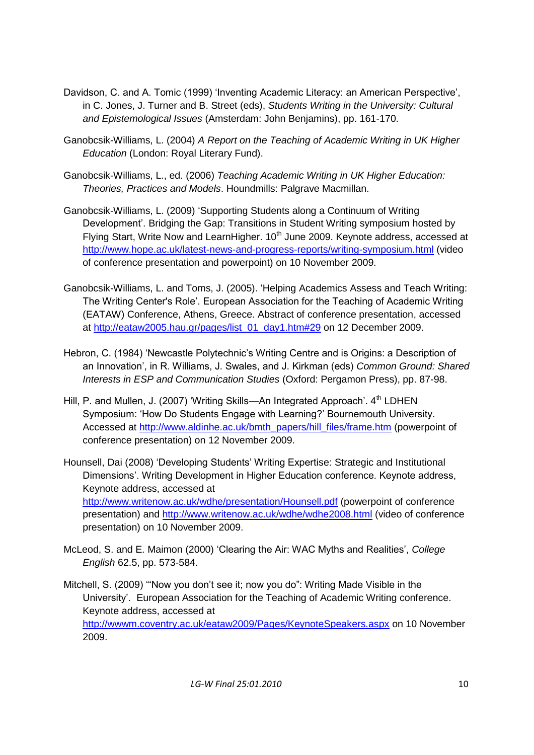- Davidson, C. and A. Tomic (1999) 'Inventing Academic Literacy: an American Perspective', in C. Jones, J. Turner and B. Street (eds), *Students Writing in the University: Cultural and Epistemological Issues* (Amsterdam: John Benjamins), pp. 161-170.
- Ganobcsik-Williams, L. (2004) *A Report on the Teaching of Academic Writing in UK Higher Education* (London: Royal Literary Fund).
- Ganobcsik-Williams, L., ed. (2006) *Teaching Academic Writing in UK Higher Education: Theories, Practices and Models*. Houndmills: Palgrave Macmillan.
- Ganobcsik-Williams, L. (2009) ‗Supporting Students along a Continuum of Writing Development'. Bridging the Gap: Transitions in Student Writing symposium hosted by Flying Start, Write Now and LearnHigher. 10<sup>th</sup> June 2009. Keynote address, accessed at <http://www.hope.ac.uk/latest-news-and-progress-reports/writing-symposium.html> (video of conference presentation and powerpoint) on 10 November 2009.
- Ganobcsik-Williams, L. and Toms, J. (2005). ‗Helping Academics Assess and Teach Writing: The Writing Center's Role'. European Association for the Teaching of Academic Writing (EATAW) Conference, Athens, Greece. Abstract of conference presentation, accessed at [http://eataw2005.hau.gr/pages/list\\_01\\_day1.htm#29](http://eataw2005.hau.gr/pages/list_01_day1.htm#29) on 12 December 2009.
- Hebron, C. (1984) 'Newcastle Polytechnic's Writing Centre and is Origins: a Description of an Innovation', in R. Williams, J. Swales, and J. Kirkman (eds) *Common Ground: Shared Interests in ESP and Communication Studies* (Oxford: Pergamon Press), pp. 87-98.
- Hill, P. and Mullen, J. (2007) 'Writing Skills—An Integrated Approach'. 4<sup>th</sup> LDHEN Symposium: 'How Do Students Engage with Learning?' Bournemouth University. Accessed at [http://www.aldinhe.ac.uk/bmth\\_papers/hill\\_files/frame.htm](http://www.aldinhe.ac.uk/bmth_papers/hill_files/frame.htm) (powerpoint of conference presentation) on 12 November 2009.
- Hounsell, Dai (2008) ‗Developing Students' Writing Expertise: Strategic and Institutional Dimensions'. Writing Development in Higher Education conference. Keynote address, Keynote address, accessed at <http://www.writenow.ac.uk/wdhe/presentation/Hounsell.pdf> (powerpoint of conference presentation) and<http://www.writenow.ac.uk/wdhe/wdhe2008.html> (video of conference presentation) on 10 November 2009.
- McLeod, S. and E. Maimon (2000) ‗Clearing the Air: WAC Myths and Realities', *College English* 62.5, pp. 573-584.
- Mitchell, S. (2009) "Now you don't see it; now you do": Writing Made Visible in the University'. European Association for the Teaching of Academic Writing conference. Keynote address, accessed at <http://wwwm.coventry.ac.uk/eataw2009/Pages/KeynoteSpeakers.aspx> on 10 November 2009.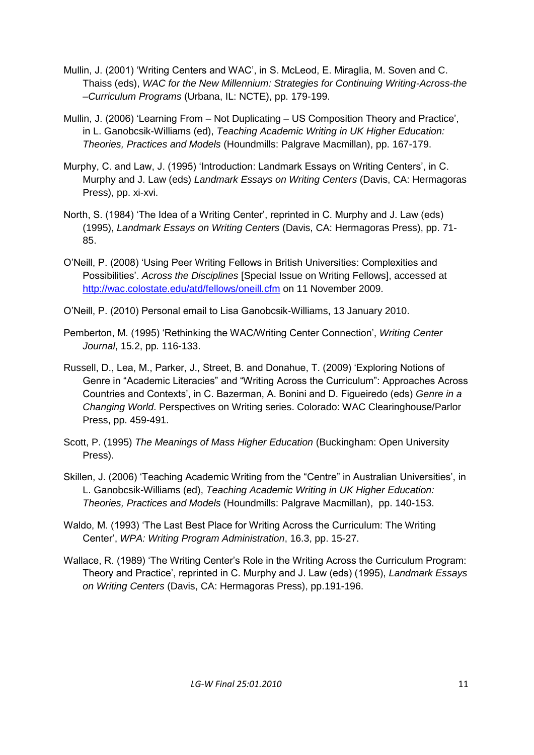- Mullin, J. (2001) ‗Writing Centers and WAC', in S. McLeod, E. Miraglia, M. Soven and C. Thaiss (eds), *WAC for the New Millennium: Strategies for Continuing Writing-Across-the –Curriculum Programs* (Urbana, IL: NCTE), pp. 179-199.
- Mullin, J. (2006) ‗Learning From Not Duplicating US Composition Theory and Practice', in L. Ganobcsik-Williams (ed), *Teaching Academic Writing in UK Higher Education: Theories, Practices and Models* (Houndmills: Palgrave Macmillan), pp. 167-179.
- Murphy, C. and Law, J. (1995) 'Introduction: Landmark Essays on Writing Centers', in C. Murphy and J. Law (eds) *Landmark Essays on Writing Centers* (Davis, CA: Hermagoras Press), pp. xi-xvi.
- North, S. (1984) 'The Idea of a Writing Center', reprinted in C. Murphy and J. Law (eds) (1995), *Landmark Essays on Writing Centers* (Davis, CA: Hermagoras Press), pp. 71- 85.
- O'Neill, P. (2008) ‗Using Peer Writing Fellows in British Universities: Complexities and Possibilities'. *Across the Disciplines* [Special Issue on Writing Fellows], accessed at <http://wac.colostate.edu/atd/fellows/oneill.cfm> on 11 November 2009.
- O'Neill, P. (2010) Personal email to Lisa Ganobcsik-Williams, 13 January 2010.
- Pemberton, M. (1995) 'Rethinking the WAC/Writing Center Connection', *Writing Center Journal*, 15.2, pp. 116-133.
- Russell, D., Lea, M., Parker, J., Street, B. and Donahue, T. (2009) 'Exploring Notions of Genre in "Academic Literacies" and "Writing Across the Curriculum": Approaches Across Countries and Contexts', in C. Bazerman, A. Bonini and D. Figueiredo (eds) *Genre in a Changing World*. Perspectives on Writing series. Colorado: WAC Clearinghouse/Parlor Press, pp. 459-491.
- Scott, P. (1995) *The Meanings of Mass Higher Education* (Buckingham: Open University Press).
- Skillen, J. (2006) 'Teaching Academic Writing from the "Centre" in Australian Universities', in L. Ganobcsik-Williams (ed), *Teaching Academic Writing in UK Higher Education: Theories, Practices and Models* (Houndmills: Palgrave Macmillan), pp. 140-153.
- Waldo, M. (1993) 'The Last Best Place for Writing Across the Curriculum: The Writing Center', *WPA: Writing Program Administration*, 16.3, pp. 15-27.
- Wallace, R. (1989) ‗The Writing Center's Role in the Writing Across the Curriculum Program: Theory and Practice', reprinted in C. Murphy and J. Law (eds) (1995), *Landmark Essays on Writing Centers* (Davis, CA: Hermagoras Press), pp.191-196.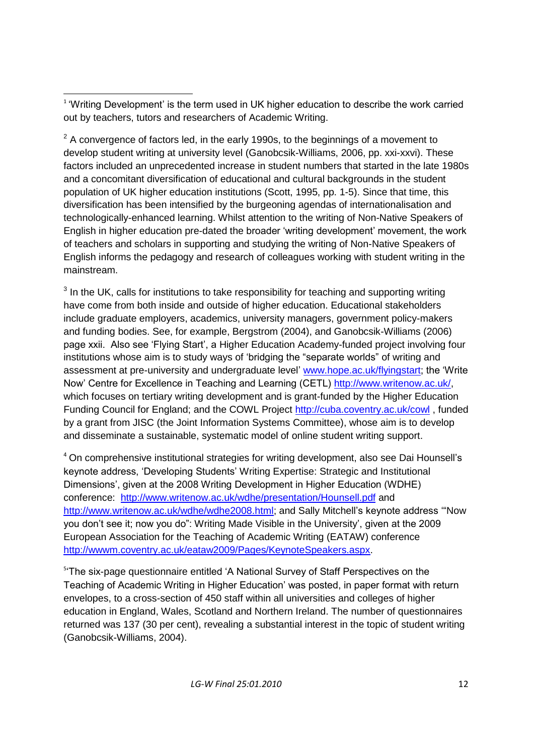$\overline{\phantom{a}}$ <sup>1</sup> 'Writing Development' is the term used in UK higher education to describe the work carried out by teachers, tutors and researchers of Academic Writing.

 $2^2$  A convergence of factors led, in the early 1990s, to the beginnings of a movement to develop student writing at university level (Ganobcsik-Williams, 2006, pp. xxi-xxvi). These factors included an unprecedented increase in student numbers that started in the late 1980s and a concomitant diversification of educational and cultural backgrounds in the student population of UK higher education institutions (Scott, 1995, pp. 1-5). Since that time, this diversification has been intensified by the burgeoning agendas of internationalisation and technologically-enhanced learning. Whilst attention to the writing of Non-Native Speakers of English in higher education pre-dated the broader 'writing development' movement, the work of teachers and scholars in supporting and studying the writing of Non-Native Speakers of English informs the pedagogy and research of colleagues working with student writing in the mainstream.

 $3$  In the UK, calls for institutions to take responsibility for teaching and supporting writing have come from both inside and outside of higher education. Educational stakeholders include graduate employers, academics, university managers, government policy-makers and funding bodies. See, for example, Bergstrom (2004), and Ganobcsik-Williams (2006) page xxii. Also see 'Flying Start', a Higher Education Academy-funded project involving four institutions whose aim is to study ways of 'bridging the "separate worlds" of writing and assessment at pre-university and undergraduate level' [www.hope.ac.uk/flyingstart;](http://www.hope.ac.uk/flyingstart) the 'Write Now' Centre for Excellence in Teaching and Learning (CETL) [http://www.writenow.ac.uk/,](http://www.writenow.ac.uk/) which focuses on tertiary writing development and is grant-funded by the Higher Education Funding Council for England; and the COWL Project<http://cuba.coventry.ac.uk/cowl> , funded by a grant from JISC (the Joint Information Systems Committee), whose aim is to develop and disseminate a sustainable, systematic model of online student writing support.

<sup>4</sup> On comprehensive institutional strategies for writing development, also see Dai Hounsell's keynote address, ‗Developing Students' Writing Expertise: Strategic and Institutional Dimensions', given at the 2008 Writing Development in Higher Education (WDHE) conference: <http://www.writenow.ac.uk/wdhe/presentation/Hounsell.pdf> and [http://www.writenow.ac.uk/wdhe/wdhe2008.html;](http://www.writenow.ac.uk/wdhe/wdhe2008.html) and Sally Mitchell's keynote address "Now you don't see it; now you do": Writing Made Visible in the University', given at the 2009 European Association for the Teaching of Academic Writing (EATAW) conference [http://wwwm.coventry.ac.uk/eataw2009/Pages/KeynoteSpeakers.aspx.](http://wwwm.coventry.ac.uk/eataw2009/Pages/KeynoteSpeakers.aspx)

<sup>5</sup> The six-page questionnaire entitled 'A National Survey of Staff Perspectives on the Teaching of Academic Writing in Higher Education' was posted, in paper format with return envelopes, to a cross-section of 450 staff within all universities and colleges of higher education in England, Wales, Scotland and Northern Ireland. The number of questionnaires returned was 137 (30 per cent), revealing a substantial interest in the topic of student writing (Ganobcsik-Williams, 2004).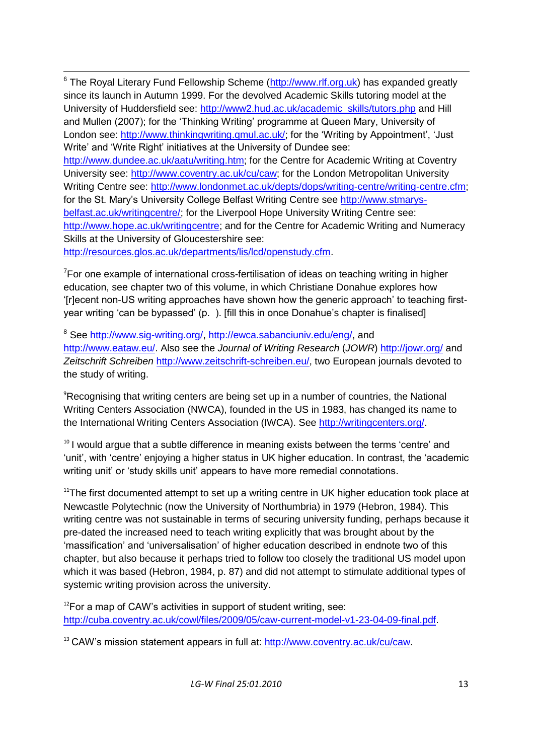$\overline{a}$ <sup>6</sup> The Royal Literary Fund Fellowship Scheme [\(http://www.rlf.org.uk\)](http://www.rlf.org.uk/) has expanded greatly since its launch in Autumn 1999. For the devolved Academic Skills tutoring model at the University of Huddersfield see: [http://www2.hud.ac.uk/academic\\_skills/tutors.php](http://www2.hud.ac.uk/academic_skills/tutors.php) and Hill and Mullen (2007); for the 'Thinking Writing' programme at Queen Mary, University of London see: http://www.thinkingwriting.gmul.ac.uk/; for the 'Writing by Appointment', 'Just Write' and 'Write Right' initiatives at the University of Dundee see: [http://www.dundee.ac.uk/aatu/writing.htm;](http://www.dundee.ac.uk/aatu/writing.htm) for the Centre for Academic Writing at Coventry University see: [http://www.coventry.ac.uk/cu/caw;](http://www.coventry.ac.uk/cu/caw) for the London Metropolitan University Writing Centre see: [http://www.londonmet.ac.uk/depts/dops/writing-centre/writing-centre.cfm;](http://www.londonmet.ac.uk/depts/dops/writing-centre/writing-centre.cfm) for the St. Mary's University College Belfast Writing Centre see [http://www.stmarys](http://www.stmarys-belfast.ac.uk/writingcentre/)[belfast.ac.uk/writingcentre/;](http://www.stmarys-belfast.ac.uk/writingcentre/) for the Liverpool Hope University Writing Centre see: [http://www.hope.ac.uk/writingcentre;](http://www.hope.ac.uk/writingcentre) and for the Centre for Academic Writing and Numeracy Skills at the University of Gloucestershire see: [http://resources.glos.ac.uk/departments/lis/lcd/openstudy.cfm.](http://resources.glos.ac.uk/departments/lis/lcd/openstudy.cfm)

 $7$ For one example of international cross-fertilisation of ideas on teaching writing in higher education, see chapter two of this volume, in which Christiane Donahue explores how ‗[r]ecent non-US writing approaches have shown how the generic approach' to teaching firstyear writing 'can be bypassed' (p. ). [fill this in once Donahue's chapter is finalised]

<sup>8</sup> See [http://www.sig-writing.org/,](http://www.sig-writing.org/) [http://ewca.sabanciuniv.edu/eng/,](http://ewca.sabanciuniv.edu/eng/) and [http://www.eataw.eu/.](http://www.eataw.eu/) Also see the *Journal of Writing Research* (*JOWR*)<http://jowr.org/> and Zeitschrift Schreiben [http://www.zeitschrift-schreiben.eu/,](http://www.zeitschrift-schreiben.eu/) two European journals devoted to the study of writing.

<sup>9</sup>Recognising that writing centers are being set up in a number of countries, the National Writing Centers Association (NWCA), founded in the US in 1983, has changed its name to the International Writing Centers Association (IWCA). See [http://writingcenters.org/.](http://writingcenters.org/)

 $10<sup>10</sup>$  I would argue that a subtle difference in meaning exists between the terms 'centre' and ‗unit', with ‗centre' enjoying a higher status in UK higher education. In contrast, the ‗academic writing unit' or 'study skills unit' appears to have more remedial connotations.

 $11$ The first documented attempt to set up a writing centre in UK higher education took place at Newcastle Polytechnic (now the University of Northumbria) in 1979 (Hebron, 1984). This writing centre was not sustainable in terms of securing university funding, perhaps because it pre-dated the increased need to teach writing explicitly that was brought about by the ‗massification' and ‗universalisation' of higher education described in endnote two of this chapter, but also because it perhaps tried to follow too closely the traditional US model upon which it was based (Hebron, 1984, p. 87) and did not attempt to stimulate additional types of systemic writing provision across the university.

 $12$ For a map of CAW's activities in support of student writing, see: [http://cuba.coventry.ac.uk/cowl/files/2009/05/caw-current-model-v1-23-04-09-final.pdf.](http://cuba.coventry.ac.uk/cowl/files/2009/05/caw-current-model-v1-23-04-09-final.pdf)

<sup>13</sup> CAW's mission statement appears in full at: [http://www.coventry.ac.uk/cu/caw.](http://www.coventry.ac.uk/cu/caw)